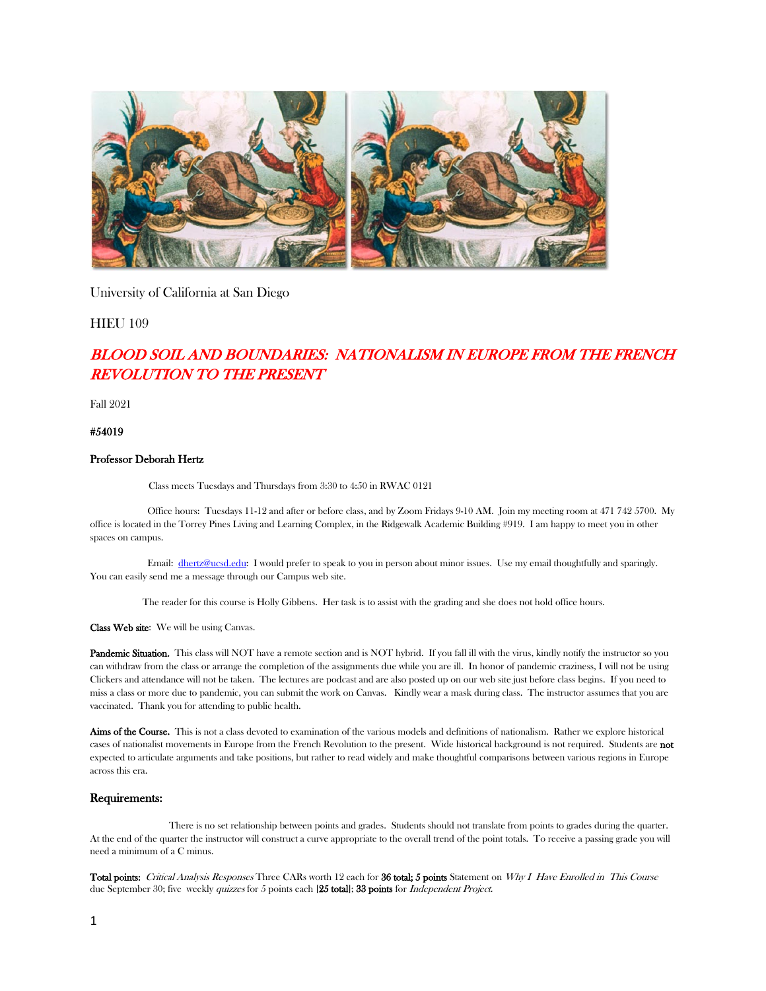

University of California at San Diego

**HIEU 109** 

# BLOOD SOIL AND BOUNDARIES: NATIONALISM IN EUROPE FROM THE FRENCH REVOLUTION TO THE PRESENT

Fall 2021

#54019

#### Professor Deborah Hertz

Class meets Tuesdays and Thursdays from 3:30 to 4:50 in RWAC 0121

 Office hours: Tuesdays 11-12 and after or before class, and by Zoom Fridays 9-10 AM. Join my meeting room at 471 742 5700. My office is located in the Torrey Pines Living and Learning Complex, in the Ridgewalk Academic Building #919. I am happy to meet you in other spaces on campus.

 Email: [dhertz@ucsd.edu:](mailto:dhertz@ucsd.edu) I would prefer to speak to you in person about minor issues. Use my email thoughtfully and sparingly. You can easily send me a message through our Campus web site.

The reader for this course is Holly Gibbens. Her task is to assist with the grading and she does not hold office hours.

Class Web site: We will be using Canvas.

Pandemic Situation. This class will NOT have a remote section and is NOT hybrid. If you fall ill with the virus, kindly notify the instructor so you can withdraw from the class or arrange the completion of the assignments due while you are ill. In honor of pandemic craziness, I will not be using Clickers and attendance will not be taken. The lectures are podcast and are also posted up on our web site just before class begins. If you need to miss a class or more due to pandemic, you can submit the work on Canvas. Kindly wear a mask during class. The instructor assumes that you are vaccinated. Thank you for attending to public health.

Aims of the Course. This is not a class devoted to examination of the various models and definitions of nationalism. Rather we explore historical cases of nationalist movements in Europe from the French Revolution to the present. Wide historical background is not required. Students are not expected to articulate arguments and take positions, but rather to read widely and make thoughtful comparisons between various regions in Europe across this era.

#### Requirements:

 There is no set relationship between points and grades. Students should not translate from points to grades during the quarter. At the end of the quarter the instructor will construct a curve appropriate to the overall trend of the point totals. To receive a passing grade you will need a minimum of a C minus.

Total points: Critical Analysis Responses Three CARs worth 12 each for 36 total; 5 points Statement on Why I Have Enrolled in This Course due September 30; five weekly quizzes for 5 points each [25 total]; 33 points for *Independent Project.*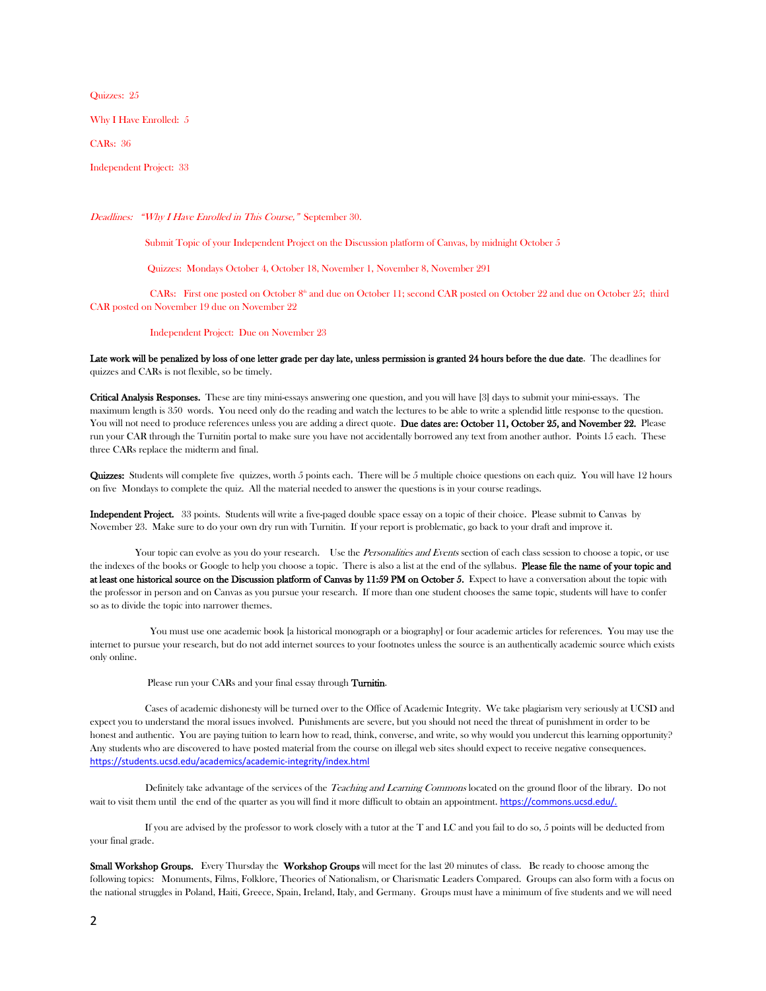Quizzes: 25

Why I Have Enrolled: 5

CARs: 36

Independent Project: 33

Deadlines: "Why I Have Enrolled in This Course," September 30.

Submit Topic of your Independent Project on the Discussion platform of Canvas, by midnight October 5

Quizzes: Mondays October 4, October 18, November 1, November 8, November 291

CARs: First one posted on October 8<sup>th</sup> and due on October 11; second CAR posted on October 22 and due on October 25; third CAR posted on November 19 due on November 22

Independent Project: Due on November 23

Late work will be penalized by loss of one letter grade per day late, unless permission is granted 24 hours before the due date. The deadlines for quizzes and CARs is not flexible, so be timely.

Critical Analysis Responses. These are tiny mini-essays answering one question, and you will have [3] days to submit your mini-essays. The maximum length is 350 words. You need only do the reading and watch the lectures to be able to write a splendid little response to the question. You will not need to produce references unless you are adding a direct quote. Due dates are: October 11, October 25, and November 22. Please run your CAR through the Turnitin portal to make sure you have not accidentally borrowed any text from another author. Points 15 each. These three CARs replace the midterm and final.

Quizzes: Students will complete five quizzes, worth 5 points each. There will be 5 multiple choice questions on each quiz. You will have 12 hours on five Mondays to complete the quiz. All the material needed to answer the questions is in your course readings.

Independent Project. 33 points. Students will write a five-paged double space essay on a topic of their choice. Please submit to Canvas by November 23. Make sure to do your own dry run with Turnitin. If your report is problematic, go back to your draft and improve it.

Your topic can evolve as you do your research. Use the Personalities and Events section of each class session to choose a topic, or use the indexes of the books or Google to help you choose a topic. There is also a list at the end of the syllabus. Please file the name of your topic and at least one historical source on the Discussion platform of Canvas by 11:59 PM on October 5. Expect to have a conversation about the topic with the professor in person and on Canvas as you pursue your research. If more than one student chooses the same topic, students will have to confer so as to divide the topic into narrower themes.

You must use one academic book [a historical monograph or a biography] or four academic articles for references. You may use the internet to pursue your research, but do not add internet sources to your footnotes unless the source is an authentically academic source which exists only online.

Please run your CARs and your final essay through Turnitin.

 Cases of academic dishonesty will be turned over to the Office of Academic Integrity. We take plagiarism very seriously at UCSD and expect you to understand the moral issues involved. Punishments are severe, but you should not need the threat of punishment in order to be honest and authentic. You are paying tuition to learn how to read, think, converse, and write, so why would you undercut this learning opportunity? Any students who are discovered to have posted material from the course on illegal web sites should expect to receive negative consequences. <https://students.ucsd.edu/academics/academic-integrity/index.html>

Definitely take advantage of the services of the Teaching and Learning Commons located on the ground floor of the library. Do not wait to visit them until the end of the quarter as you will find it more difficult to obtain an appointment. https://commons.ucsd.edu/.

 If you are advised by the professor to work closely with a tutor at the T and LC and you fail to do so, 5 points will be deducted from your final grade.

Small Workshop Groups. Every Thursday the Workshop Groups will meet for the last 20 minutes of class. Be ready to choose among the following topics: Monuments, Films, Folklore, Theories of Nationalism, or Charismatic Leaders Compared. Groups can also form with a focus on the national struggles in Poland, Haiti, Greece, Spain, Ireland, Italy, and Germany. Groups must have a minimum of five students and we will need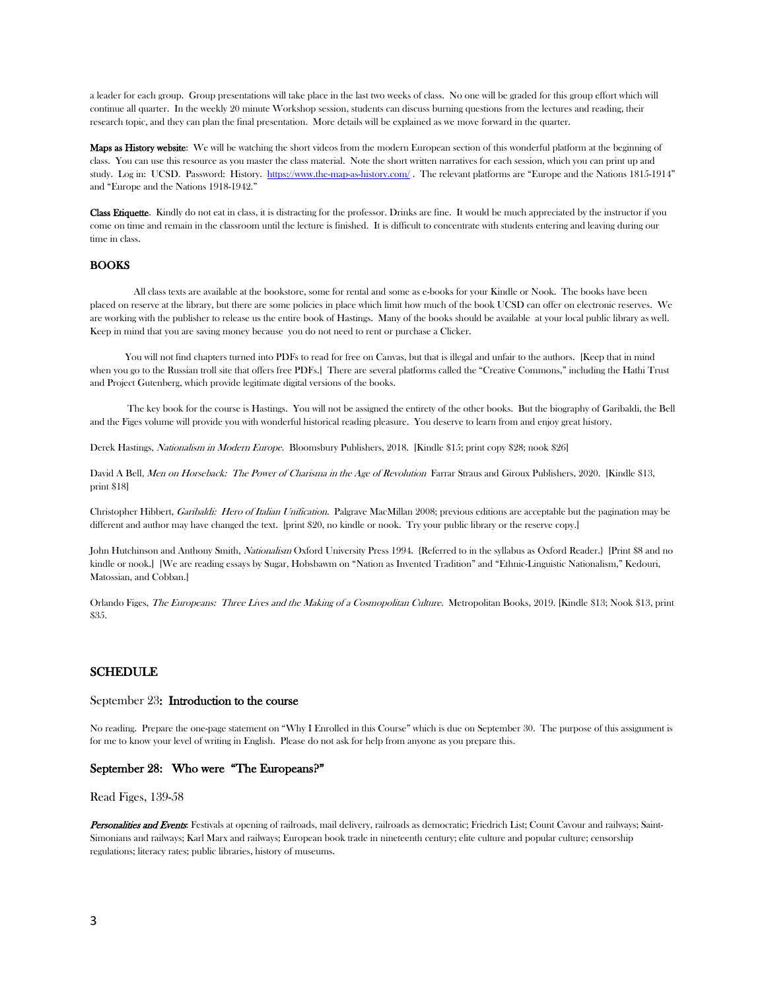a leader for each group. Group presentations will take place in the last two weeks of class. No one will be graded for this group effort which will continue all quarter. In the weekly 20 minute Workshop session, students can discuss burning questions from the lectures and reading, their research topic, and they can plan the final presentation. More details will be explained as we move forward in the quarter.

**Maps as History website:** We will be watching the short videos from the modern European section of this wonderful platform at the beginning of class. You can use this resource as you master the class material. Note the short written narratives for each session, which you can print up and study. Log in: UCSD. Password: History.<https://www.the-map-as-history.com/> . The relevant platforms are "Europe and the Nations 1815-1914" and "Europe and the Nations 1918-1942."

Class Etiquette. Kindly do not eat in class, it is distracting for the professor. Drinks are fine. It would be much appreciated by the instructor if you come on time and remain in the classroom until the lecture is finished. It is difficult to concentrate with students entering and leaving during our time in class.

#### **BOOKS**

 All class texts are available at the bookstore, some for rental and some as e-books for your Kindle or Nook. The books have been placed on reserve at the library, but there are some policies in place which limit how much of the book UCSD can offer on electronic reserves. We are working with the publisher to release us the entire book of Hastings. Many of the books should be available at your local public library as well. Keep in mind that you are saving money because you do not need to rent or purchase a Clicker.

You will not find chapters turned into PDFs to read for free on Canvas, but that is illegal and unfair to the authors. [Keep that in mind when you go to the Russian troll site that offers free PDFs.] There are several platforms called the "Creative Commons," including the Hathi Trust and Project Gutenberg, which provide legitimate digital versions of the books.

 The key book for the course is Hastings. You will not be assigned the entirety of the other books. But the biography of Garibaldi, the Bell and the Figes volume will provide you with wonderful historical reading pleasure. You deserve to learn from and enjoy great history.

Derek Hastings, Nationalism in Modern Europe. Bloomsbury Publishers, 2018. [Kindle \$15; print copy \$28; nook \$26]

David A Bell, Men on Horseback: The Power of Charisma in the Age of Revolution Farrar Straus and Giroux Publishers, 2020. [Kindle \$13, print \$18]

Christopher Hibbert, *Garibaldi: Hero of Italian Unification*. Palgrave MacMillan 2008; previous editions are acceptable but the pagination may be different and author may have changed the text. [print \$20, no kindle or nook. Try your public library or the reserve copy.]

John Hutchinson and Anthony Smith, Nationalism Oxford University Press 1994. {Referred to in the syllabus as Oxford Reader.} [Print \$8 and no kindle or nook.] [We are reading essays by Sugar, Hobsbawm on "Nation as Invented Tradition" and "Ethnic-Linguistic Nationalism," Kedouri, Matossian, and Cobban.]

Orlando Figes, The Europeans: Three Lives and the Making of a Cosmopolitan Culture. Metropolitan Books, 2019. [Kindle \$13; Nook \$13, print \$35.

## SCHEDULE

#### September 23: Introduction to the course

No reading. Prepare the one-page statement on "Why I Enrolled in this Course" which is due on September 30. The purpose of this assignment is for me to know your level of writing in English. Please do not ask for help from anyone as you prepare this.

#### September 28: Who were "The Europeans?"

Read Figes, 139-58

Personalities and Events: Festivals at opening of railroads, mail delivery, railroads as democratic; Friedrich List; Count Cavour and railways; Saint-Simonians and railways; Karl Marx and railways; European book trade in nineteenth century; elite culture and popular culture; censorship regulations; literacy rates; public libraries, history of museums.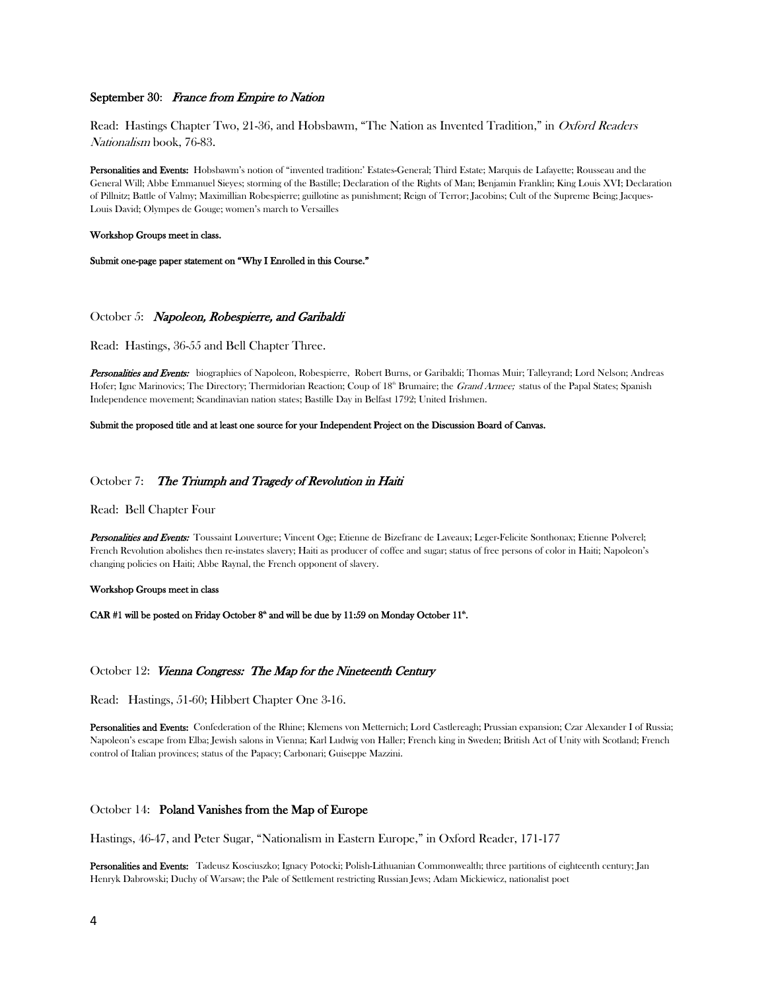## September 30: France from Empire to Nation

Read: Hastings Chapter Two, 21-36, and Hobsbawm, "The Nation as Invented Tradition," in Oxford Readers Nationalism book, 76-83.

Personalities and Events: Hobsbawm's notion of "invented tradition:' Estates-General; Third Estate; Marquis de Lafayette; Rousseau and the General Will; Abbe Emmanuel Sieyes; storming of the Bastille; Declaration of the Rights of Man; Benjamin Franklin; King Louis XVI; Declaration of Pillnitz; Battle of Valmy; Maximillian Robespierre; guillotine as punishment; Reign of Terror; Jacobins; Cult of the Supreme Being; Jacques-Louis David; Olympes de Gouge; women's march to Versailles

#### Workshop Groups meet in class.

Submit one-page paper statement on "Why I Enrolled in this Course."

#### October 5: Napoleon, Robespierre, and Garibaldi

Read: Hastings, 36-55 and Bell Chapter Three.

Personalities and Events: biographies of Napoleon, Robespierre, Robert Burns, or Garibaldi; Thomas Muir; Talleyrand; Lord Nelson; Andreas Hofer; Ignc Marinovics; The Directory; Thermidorian Reaction; Coup of 18<sup>th</sup> Brumaire; the Grand Armee; status of the Papal States; Spanish Independence movement; Scandinavian nation states; Bastille Day in Belfast 1792; United Irishmen.

#### Submit the proposed title and at least one source for your Independent Project on the Discussion Board of Canvas.

#### October 7: The Triumph and Tragedy of Revolution in Haiti

## Read: Bell Chapter Four

Personalities and Events: Toussaint Louverture; Vincent Oge; Etienne de Bizefranc de Laveaux; Leger-Felicite Sonthonax; Etienne Polverel; French Revolution abolishes then re-instates slavery; Haiti as producer of coffee and sugar; status of free persons of color in Haiti; Napoleon's changing policies on Haiti; Abbe Raynal, the French opponent of slavery.

#### Workshop Groups meet in class

CAR #1 will be posted on Friday October  $8^{\circ}$  and will be due by 11:59 on Monday October 11<sup> $\circ$ </sup>.

#### October 12: Vienna Congress: The Map for the Nineteenth Century

Read: Hastings, 51-60; Hibbert Chapter One 3-16.

Personalities and Events: Confederation of the Rhine; Klemens von Metternich; Lord Castlereagh; Prussian expansion; Czar Alexander I of Russia; Napoleon's escape from Elba; Jewish salons in Vienna; Karl Ludwig von Haller; French king in Sweden; British Act of Unity with Scotland; French control of Italian provinces; status of the Papacy; Carbonari; Guiseppe Mazzini.

## October 14: Poland Vanishes from the Map of Europe

Hastings, 46-47, and Peter Sugar, "Nationalism in Eastern Europe," in Oxford Reader, 171-177

Personalities and Events: Tadeusz Kosciuszko; Ignacy Potocki; Polish-Lithuanian Commonwealth; three partitions of eighteenth century; Jan Henryk Dabrowski; Duchy of Warsaw; the Pale of Settlement restricting Russian Jews; Adam Mickiewicz, nationalist poet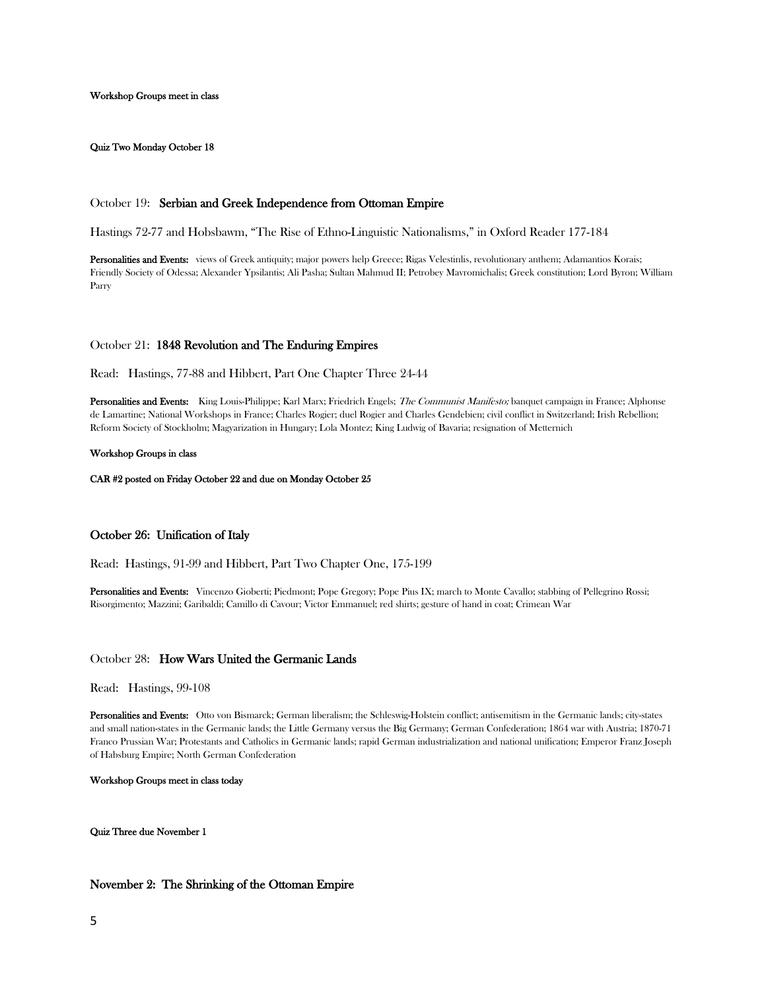Workshop Groups meet in class

Quiz Two Monday October 18

# October 19: Serbian and Greek Independence from Ottoman Empire

Hastings 72-77 and Hobsbawm, "The Rise of Ethno-Linguistic Nationalisms," in Oxford Reader 177-184

Personalities and Events: views of Greek antiquity; major powers help Greece; Rigas Velestinlis, revolutionary anthem; Adamantios Korais; Friendly Society of Odessa; Alexander Ypsilantis; Ali Pasha; Sultan Mahmud II; Petrobey Mavromichalis; Greek constitution; Lord Byron; William Parry

# October 21: 1848 Revolution and The Enduring Empires

Read: Hastings, 77-88 and Hibbert, Part One Chapter Three 24-44

Personalities and Events: King Louis-Philippe; Karl Marx; Friedrich Engels; The Communist Manifesto; banquet campaign in France; Alphonse de Lamartine; National Workshops in France; Charles Rogier; duel Rogier and Charles Gendebien; civil conflict in Switzerland; Irish Rebellion; Reform Society of Stockholm; Magyarization in Hungary; Lola Montez; King Ludwig of Bavaria; resignation of Metternich

#### Workshop Groups in class

CAR #2 posted on Friday October 22 and due on Monday October 25

## October 26: Unification of Italy

Read: Hastings, 91-99 and Hibbert, Part Two Chapter One, 175-199

Personalities and Events: Vincenzo Gioberti; Piedmont; Pope Gregory; Pope Pius IX; march to Monte Cavallo; stabbing of Pellegrino Rossi; Risorgimento; Mazzini; Garibaldi; Camillo di Cavour; Victor Emmanuel; red shirts; gesture of hand in coat; Crimean War

#### October 28: How Wars United the Germanic Lands

Read: Hastings, 99-108

Personalities and Events: Otto von Bismarck; German liberalism; the Schleswig-Holstein conflict; antisemitism in the Germanic lands; city-states and small nation-states in the Germanic lands; the Little Germany versus the Big Germany; German Confederation; 1864 war with Austria; 1870-71 Franco Prussian War; Protestants and Catholics in Germanic lands; rapid German industrialization and national unification; Emperor Franz Joseph of Habsburg Empire; North German Confederation

## Workshop Groups meet in class today

Quiz Three due November 1

# November 2: The Shrinking of the Ottoman Empire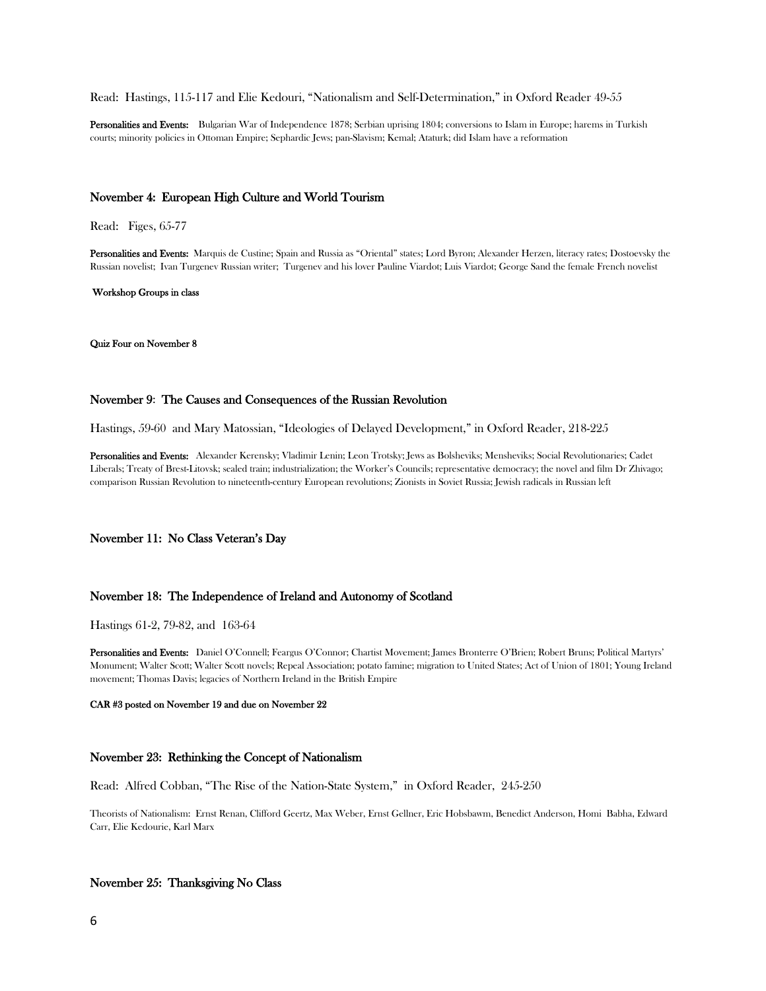#### Read: Hastings, 115-117 and Elie Kedouri, "Nationalism and Self-Determination," in Oxford Reader 49-55

Personalities and Events: Bulgarian War of Independence 1878; Serbian uprising 1804; conversions to Islam in Europe; harems in Turkish courts; minority policies in Ottoman Empire; Sephardic Jews; pan-Slavism; Kemal; Ataturk; did Islam have a reformation

## November 4: European High Culture and World Tourism

Read: Figes, 65-77

Personalities and Events: Marquis de Custine; Spain and Russia as "Oriental" states; Lord Byron; Alexander Herzen, literacy rates; Dostoevsky the Russian novelist; Ivan Turgenev Russian writer; Turgenev and his lover Pauline Viardot; Luis Viardot; George Sand the female French novelist

Workshop Groups in class

#### Quiz Four on November 8

## November 9: The Causes and Consequences of the Russian Revolution

Hastings, 59-60 and Mary Matossian, "Ideologies of Delayed Development," in Oxford Reader, 218-225

Personalities and Events: Alexander Kerensky; Vladimir Lenin; Leon Trotsky; Jews as Bolsheviks; Mensheviks; Social Revolutionaries; Cadet Liberals; Treaty of Brest-Litovsk; sealed train; industrialization; the Worker's Councils; representative democracy; the novel and film Dr Zhivago; comparison Russian Revolution to nineteenth-century European revolutions; Zionists in Soviet Russia; Jewish radicals in Russian left

## November 11: No Class Veteran's Day

#### November 18: The Independence of Ireland and Autonomy of Scotland

Hastings 61-2, 79-82, and 163-64

Personalities and Events: Daniel O'Connell; Feargus O'Connor; Chartist Movement; James Bronterre O'Brien; Robert Bruns; Political Martyrs' Monument; Walter Scott; Walter Scott novels; Repeal Association; potato famine; migration to United States; Act of Union of 1801; Young Ireland movement; Thomas Davis; legacies of Northern Ireland in the British Empire

#### CAR #3 posted on November 19 and due on November 22

# November 23: Rethinking the Concept of Nationalism

Read: Alfred Cobban, "The Rise of the Nation-State System," in Oxford Reader, 245-250

Theorists of Nationalism: Ernst Renan, Clifford Geertz, Max Weber, Ernst Gellner, Eric Hobsbawm, Benedict Anderson, Homi Babha, Edward Carr, Elie Kedourie, Karl Marx

# November 25: Thanksgiving No Class